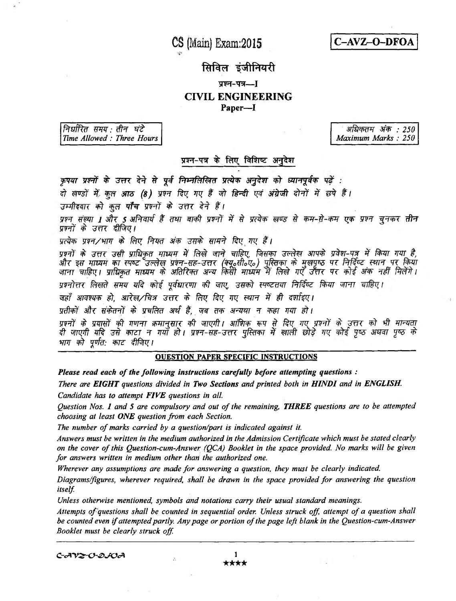**CS (Main) Exam:2015**



## सिविल इंजीनियरी

# प्रश्न-पत्र---] **CIVIL ENGINEERING**

**Paper—I**

*निर्धारित समय : तीन घंटे Time Allowed : Three Hours*

*3ff> : 250 Maximum Marks : 250*

### प्रश्न-पत्र के लिए विशिष्ट अनुदेश

कृपया प्रश्नों के उत्तर देने से पूर्व निम्नलिखित प्रत्येक अनुदेश को ध्यानपूर्वक पढ़ें : दो खण्डों में कूल आठ (8) प्रश्न दिए गए हैं जो हिन्दी एवं अंग्रेजी दोनों में छपे हैं। उम्मीदवार को कुल **पाँच** प्रश्नों के उत्तर देने हैं। *w? tmr l Jh s zfPrwf \$ mr m¥f jtft¥* **#' # ?f#^ #** *wr-d-w x^r wft* **# t** प्रश्नों के उत्तर दीजिए।

*प्रत्येक प्रश्न/भाग के लिए नियत अंक उसके सामने दिए गए हैं।* 

प्रश्नों के उत्तर उसी प्राधिकृत माध्यम में लिखे जाने चाहिए, जिसका उल्लेख आपके प्रवेश-पत्र में किया गया है, *sifc* **f?r** *mm w* **w** *wft-w-ztk (Ffofftofy)* **^ w qr t o** जाना चाहिए। प्राधिकृत माध्यम के अतिरिक्त अन्य किर्ती माध्यम में लिखे गएँ उत्तर पर कोई अंक प्रश्नोत्तर लिखते समय यदि कोई पूर्वधारणा की जाए, उसको स्पष्टतया निर्दिष्ट किया जाना चाहिए।

जहाँ आवश्यक हो, आरेख/चित्र उत्तर के लिए दिए गए स्थान में ही दर्शाइए।

प्रतीकों और संकेतनों के प्रचलित अर्थ हैं, जब तक अन्यथा न कहा गया हो।

*mwf \$ srmf ¥f whj mr^im ¥f wpfti wf^ wr* **# fa?** *w wtf* **£** *zm* **# \*#** *mmr \$- zjnpft vft m^r* **>** *mr wti yiFT-w-^riT* **5#ctw #\* ^7<#** *mi w ^ ?& \$ भाग को पूर्णत: काट दीजिए।* 

#### OUESTION PAPER SPECIFIC INSTRUCTIONS

*Please read each of the following instructions carefully before attempting questions :*

*There are EIGHT questions divided in Two Sections and printed both in HINDI and in ENGLISH. Candidate has to attempt FIVE questions in all*

*Question Nos*. *1 and 5 are compulsory and out of the remaining, THREE questions are to be attempted choosing at least ONE question from each Section.*

*The number of marks carried by a question/part is indicated against it.*

*Answers must be written in the medium authorized in the Admission Certificate which must be stated clearly on the cover of this Question-cum-Answer (QCA) Booklet in the space provided. No marks will be given for answers written in medium other than the authorized one.*

*Wherever any assumptions are made for answering a question*, *they must be clearly indicated.*

*Diagrams/figures, wherever required, shall be drawn in the space provided for answering the question itself*

*Unless otherwise mentioned, symbols and notations carry their usual standard meanings.*

*Attempts of questions shall be counted in sequential order. Unless struck off attempt of a question shall be counted even if attempted partly. Any page or portion of the page left blank in the Question-cum-Answer Booklet must be clearly struck off*

 $C$ - $AV2$ - $C$ - $Q$ - $C\mathcal{A}$  1

★★★★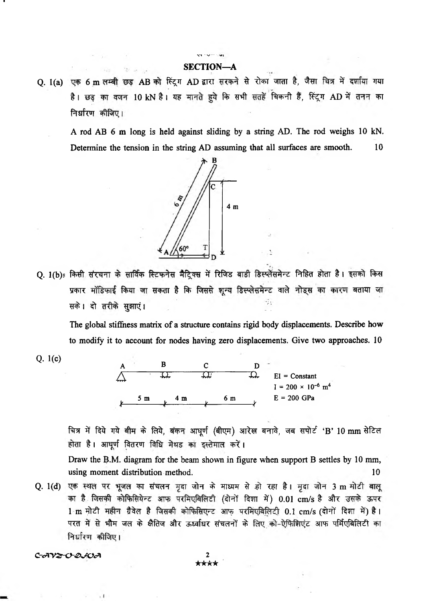### VI " V------ **SECTION—A**

and the same

Q. I(a) एक 6 m लम्बी छड़ AB को स्ट्रिंग AD द्वारा सरकने से रोका जाता है, जैसा चित्र में दर्शाया गया है। छड़ का वजन 10 kN है। यह मानते हुये कि सभी सतहें चिकनी हैं, स्ट्रिंग AD में तनन का निर्धारण कीजिए।

A rod AB 6 m long is held against sliding by a string AD. The rod weighs 10 kN. Determine the tension in the string AD assuming that all surfaces are smooth. 10



Q. 1(b): किसी संरचना के सार्विक स्टिफनेस मैट्रिक्स में रिजिड बाडी डिस्प्लेंसमेन्ट निहित होता है। इसको किस प्रकार मॉडिफाई किया जा सकता है कि जिससे शून्य डिस्प्लेसमेन्ट वाले नोड्स का कारण बताया जा *^* i <fr gsrnj i / ;

The global stiffness matrix of a structure contains rigid body displacements. Describe how to modify it to account for nodes having zero displacements. Give two approaches. 10

Q. 1(c)

I



चित्र में दिये गये बीम के लिये, बंकन आधूर्ण (बीएम) आरेख बनावे, जब सपोर्ट 'B' 10 mm सेटिल होता है। आघूर्ण वितरण विधि मेथड का इस्तेमाल करें।

Draw the B.M. diagram for the beam shown in figure when support B settles by 10 mm, using moment distribution method. 10

Q. 1(d) एक स्थल पर भूजल का संचलन मृदा जोन के माध्यम से हो रहा है। मृदा जोन 3 m मोटी बालू का है जिसकी कोफिसियेन्ट आफ परमिएबिलिटी (दोनों दिशा में) 0.01 cm/s है और उसके ऊपर 1 m मोटी महीन ग्रैवेल है जिसकी कोफिसिएन्ट आफ परमिएबिलिटी 0.1 cm/s (दोनों दिशा में) है। परत में से भौम जल के क्षैतिज और ऊर्ध्वाधर संचलनों के लिए को-ऐफिशिएंट आफ पर्मिएबिलिटी का निर्धारण कीजिए।

*C-<XV&0-&J&J\ 2*

 $, 1$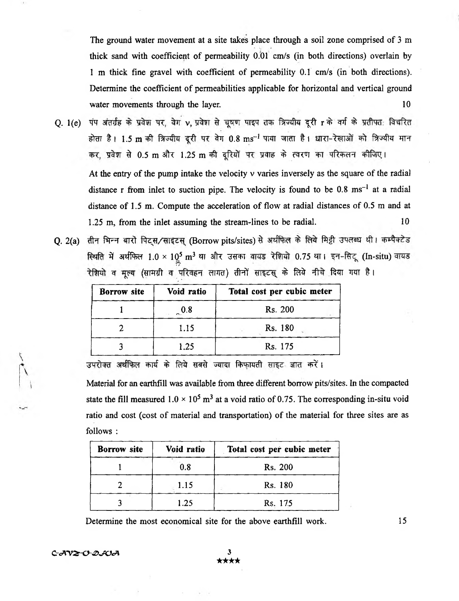The ground water movement at a site takes place through a soil zone comprised of 3 m thick sand with coefficient of permeability 0.01 cm/s (in both directions) overlain by 1 m thick fine gravel with coefficient of permeability 0.1 cm/s (in both directions). Determine the coefficient of permeabilities applicable for horizontal and vertical ground water movements through the layer. 10

- Q. 1(e) पंप अंतर्ग्रह के प्रवेश पर, वेग v, प्रवेश से चूषण पाइप तक त्रिज्यीय दूरी r के वर्ग के प्रतीपत: विचरित होता है। 1.5 m की त्रिज्यीय दूरी पर वेग 0.8 ms<sup>-1</sup> पाया जाता है। धारा-रेखाओं को त्रिज्यीय मान कर, प्रवेश से 0.5 m और 1.25 m की दूरियों पर प्रवाह के त्वरण का परिकलन कीजिए। At the entry of the pump intake the velocity  $\nu$  varies inversely as the square of the radial distance r from inlet to suction pipe. The velocity is found to be  $0.8 \text{ ms}^{-1}$  at a radial distance of 1.5 m. Compute the acceleration of flow at radial distances of 0.5 m and at 1.25 m, from the inlet assuming the stream-lines to be radial. 10
- Q. 2(a) तीन भिन्न बारो पिट्स/साइटस (Borrow pits/sites) से अर्थफिल के लिये मिट्टी उपलब्ध थी। कम्पैक्टेड रिथति में अर्थफिल 1.0 × 10<sup>5</sup> m<sup>3</sup> था और उसका वायड रेशियो 0.75 था। इन-सिटू (In-situ) वायड रेशियो व मूल्य (सामग्री व परिवहन लागत) तीनों साइटस् के लिये नीचे दिया गया है।

| Borrow site | Void ratio | Total cost per cubic meter |  |  |
|-------------|------------|----------------------------|--|--|
|             | 0.8        | Rs. 200                    |  |  |
|             | 1.15       | Rs. 180                    |  |  |
|             | 1.25       | Rs. 175                    |  |  |

उपरोक्त अर्थफिल कार्य के लिये सबसे ज्यादा किफायती साइट ज्ञात करें।

Material for an earthfill was available from three different borrow pits/sites. In the compacted state the fill measured  $1.0 \times 10^5$  m<sup>3</sup> at a void ratio of 0.75. The corresponding in-situ void ratio and cost (cost of material and transportation) of the material for three sites are as follows :

| <b>Borrow</b> site<br>Void ratio |      | Total cost per cubic meter |  |
|----------------------------------|------|----------------------------|--|
|                                  | 0.8  | Rs. 200                    |  |
|                                  | 1.15 | Rs. 180                    |  |
|                                  | 1.25 | Rs. 175                    |  |

Determine the most economical site for the above earthfill work. 15

*C~cA~V2r<y£>sSOcA* 3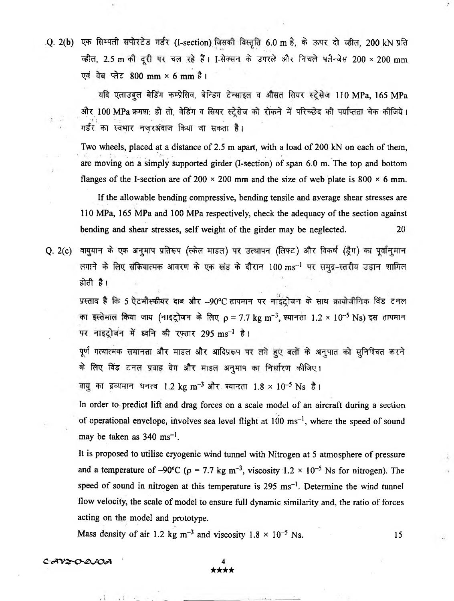.Q. 2(b) एक सिम्पली सपोरटेड गर्डर (I-section) जिसकी विस्तृति 6.0 m है, के ऊपर दो व्हील, 200 kN प्रति व्हील, 2.5 m की दूरी पर चल रहे हैं। I-सेक्सन के उपरले और निचले फ्लैन्जेस 200 × 200 mm एवं वेब प्लेट 800 mm × 6 mm है।

यदि एलाउबूल बेडिंग कम्प्रेसिव, बेन्डिंग टेन्साइल व औसत सियर स्ट्रेसेज 110 MPa, 165 MPa और 100 MPa क्रमश: हो तो, वेडिंग व सियर स्ट्रेसेज को रोकने में परिच्छेद की पर्याप्तता चेक कीजिये। गर्डर का स्वभार नजरअंदाज किया जा सकता है।

Two wheels, placed at a distance of 2.5 m apart, with a load of 200 kN on each of them, are moving on a simply supported girder (I-section) of span 6.0 m. The top and bottom flanges of the I-section are of 200  $\times$  200 mm and the size of web plate is 800  $\times$  6 mm.

If the allowable bending compressive, bending tensile and average shear stresses are 110 MPa, 165 MPa and 100 MPa respectively, check the adequacy of the section against bending and shear stresses, self weight of the girder may be neglected. 20

Q. 2(c) वायुयान के एक अनुमाप प्रतिरूप (स्केल माडल) पर उत्थापन (लिफ्ट) और विकर्ष (ड्रैग) का पूर्वानुमान लगाने के लिए संक्रियात्मक आवरण के एक खंड के दौरान 100 ms<sup>-1</sup> पर समुद्र-स्तरीय उड़ान शामिल होती है।

प्रस्ताव है कि 5 ऐटमौस्फीयर दाब और -90°C तापमान पर नाइंट्रोजन के साथ क्रायोजीनिक विंड टनल का इस्तेमाल किया जाय (नाइट्रोजन के लिए  $\rho = 7.7$  kg m<sup>-3</sup>, श्यानता 1.2 × 10<sup>-5</sup> Ns) इस तापमान पर नाइट्रोजन में ध्वनि की रफ़्तार 295 ms<sup>-1</sup> है।

पूर्ण गत्यात्मक समानता और माडल और आदिप्ररूप पर लगे हुए बलों के अनुपात को सुनिश्चित करने के लिए विंड टनल प्रवाह वेग और माडल अनुमाप का निर्धारण कीजिए।

वायु का द्रव्यमान घनत्व 1.2 kg m<sup>-3</sup> और श्यानता 1.8 × 10<sup>-5</sup> Ns है।

In order to predict lift and drag forces on a scale model of an aircraft during a section of operational envelope, involves sea level flight at  $100 \text{ ms}^{-1}$ , where the speed of sound may be taken as  $340 \text{ ms}^{-1}$ .

It is proposed to utilise cryogenic wind tunnel with Nitrogen at 5 atmosphere of pressure and a temperature of -90°C ( $p = 7.7$  kg m<sup>-3</sup>, viscosity 1.2 × 10<sup>-5</sup> Ns for nitrogen). The speed of sound in nitrogen at this temperature is  $295 \text{ ms}^{-1}$ . Determine the wind tunnel flow velocity, the scale of model to ensure full dynamic similarity and, the ratio of forces acting on the model and prototype.

Mass density of air 1.2 kg  $\text{m}^{-3}$  and viscosity  $1.8 \times 10^{-5}$  Ns. 15

*C-<A'V&0-£>JV\*A* ' **4**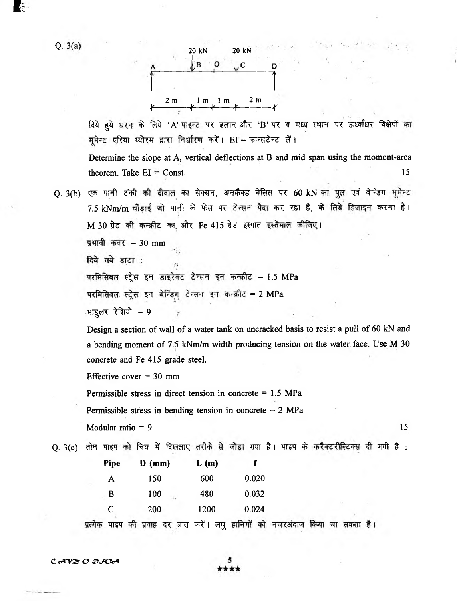E t



दिये हुये धरन के लिये 'A' पाइन्ट पर ढलान और 'B' पर व मध्य स्थान पर ऊर्ध्वाधर विक्षेपों का मुमेन्ट एरिया थ्योरम द्वारा निर्धारण करें। EI = कान्सटेन्ट लें।

Determine the slope at A, vertical deflections at B and mid span using the moment-area  $\mu$  theorem. Take EI = Const. 15

O. 3(b) एक पानी टंकी की दीवाल का सेक्सन, अनक्रैक्ड बेसिस पर 60 kN का पुल एवं बेन्डिंग मूमेन्ट 7.5 kNm/m चौड़ाई जो पानी के फेस पर टेन्सन पैदा कर रहा है, के लिये डिजाइन करना है। M 30 ग्रेड की कन्क्रीट का और Fe 415 ग्रेड इस्पात इस्तेमाल कीजिए।

प्रभावी कवर = 30 mm

दिये गये डाटा :

परमिसिबल स्ट्रेस इन डाइरेक्ट टेन्सन इन कन्क्रीट = 1.5 MPa

परमिसिबल स्ट्रेस इन बेन्डिंग टेन्सन इन कन्क्रीट = 2 MPa

माडूलर रेशियो = 9

Design a section of wall of a water tank on uncracked basis to resist a pull of 60 kN and a bending moment of 7.5 kNm/m width producing tension on the water face. Use M 30 concrete and Fe 415 grade steel.

Effective cover  $= 30$  mm

Permissible stress in direct tension in concrete  $= 1.5$  MPa

Permissible stress in bending tension in concrete  $= 2$  MPa

Modular ratio  $= 9$  15

Q. 3(c) तीन पाइप को चित्र में दिखलाए तरीके से जोड़ा गया है। पाइप के करैक्टरीस्टिक्स दी गयी है :

| <b>Pipe</b> | $\mathbf{D}$ (mm) | L(m) |       |
|-------------|-------------------|------|-------|
| A           | 150               | 600  | 0.020 |
| B           | 100<br>i.         | 480  | 0.032 |
| C           | 200               | 1200 | 0.024 |
|             |                   |      |       |

प्रत्येक पाइप की प्रवाह दर ज्ञात करें। लघु हानियों को नजरअंदाज किया जा सकता है।

*C -cA -V Z -0~& JV cA*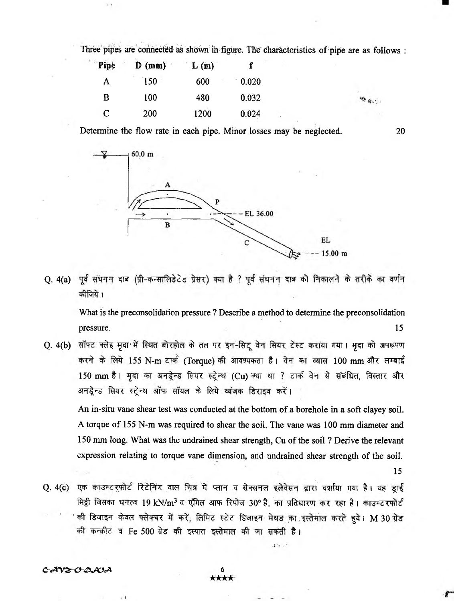Three pipes are connected as shown in figure. The characteristics of pipe are as follows :

| Pipe | $D$ (mm) | L(m) |       |   |  |
|------|----------|------|-------|---|--|
| A    | 150      | 600  | 0.020 |   |  |
| B    | 100      | 480  | 0.032 |   |  |
| C    | 200      | 1200 | 0.024 | × |  |

Determine the flow rate in each pipe. Minor losses may be neglected. 20



Q. 4(a) पूर्व संघनन दाब (प्री-कन्सालिडेटेड प्रेसर) क्या है ? पूर्व संघनन दाब को निकालने के तरीके का वर्णन कीजिये।

What is the preconsolidation pressure ? Describe a method to determine the preconsolidation pressure. 15

Q. 4(b) सॉफ्ट क्लेइ मृदा में स्थित बोरहोल के तल पर इन-सिटू वेन सियर टेस्ट कराया गया। मृदा को अपरूपण करने के लिये 155 N-m टार्क (Torque) की आवश्यकता है। वेन का व्यास 100 mm और लम्बाई 150 mm है। मृदा का अनडूेन्ड सियर स्ट्रेन्थ (Cu) क्या था ? टार्क वेन से संबंधित, विस्तार और अनडेन्ड सियर स्टेन्थ ऑफ सॉयल के लिये व्यंजक डिराइव करें।

An in-situ vane shear test was conducted at the bottom of a borehole in a soft clayey soil. A torque of 155 N-m was required to shear the soil. The vane was 100 mm diameter and 150 mm long. What was the undrained shear strength, Cu of the soil ? Derive the relevant expression relating to torque vane dimension, and undrained shear strength of the soil.

th.

15

特 由心.

Q. 4(c) एक काउन्टरफोर्ट रिटेनिंग वाल चित्र में प्लान व सेक्सनल इलेवेसन द्वारा दर्शाया गया है। यह डाई मिट्टी जिसका घनत्व 19 kN/m<sup>3</sup> व एंगिल आफ रिपोज 30° है, का प्रतिधारण कर रहा है। काउन्टरफोर्ट की डिजाइन केवल फ्लेक्चर में करें, लिमिट स्टेट डिजाइन मेथड का इस्तेमाल करते हुये। M 30 ग्रेड की कन्क़ीट व Fe 500 ग्रेड की इस्पात इस्तेमाल की जा सकती है।

C-AV<del>2-</del>O-Q*A*OA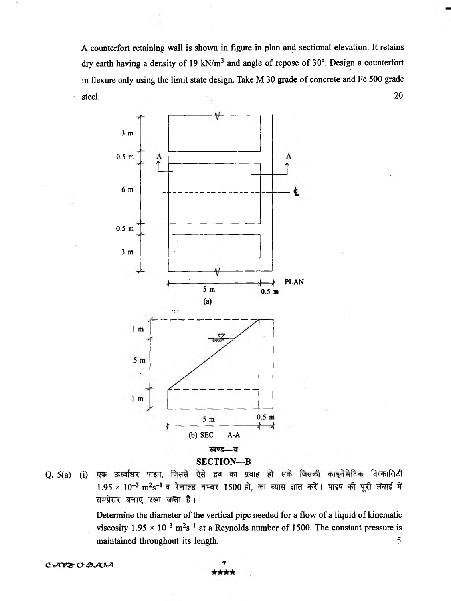A counterfort retaining wall is shown in figure in plan and sectional elevation. It retains dry earth having a density of 19 kN/ $m<sup>3</sup>$  and angle of repose of 30°. Design a counterfort in flexure only using the limit state design. Take M 30 grade of concrete and Fe 500 grade steel. 20



**Q.** 5(a) एक ऊर्ध्वाधर पाइप, जिससे ऐसे द्रव का प्रवाह हो सके जिसकी काइनेमेटिक विस्कासिटी 1.95 × 10<sup>-3</sup> m<sup>2</sup>s<sup>-1</sup> व रेनाल्ड नम्बर 1500 हो, का व्यास ज्ञात करें। पाइप की पूरी लंबाई में *समप्रेसर बनाए रखा जाता है।* 

Determine the diameter of the vertical pipe needed for a flow of a liquid of kinematic viscosity  $1.95 \times 10^{-3}$  m<sup>2</sup>s<sup>-1</sup> at a Reynolds number of 1500. The constant pressure is maintained throughout its length. 5

*C -cA 'V ^-O & 'JV cA 1*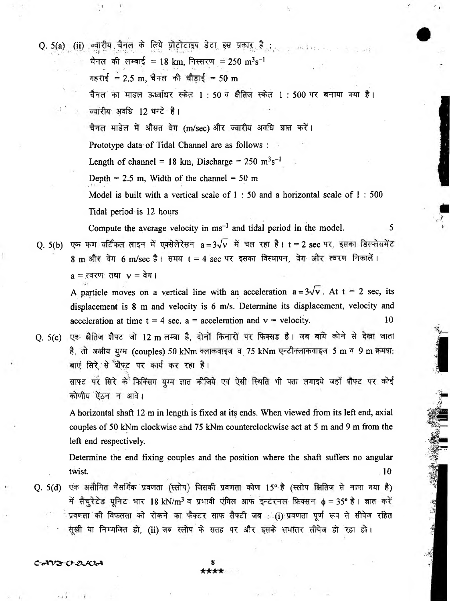Q. 5(a) (ii) ज्वारीय चैनल के लिये प्रोटोटाइप डेटा इस प्रकार है: ............ चैनल की लम्बाई = 18 km, निस्सरण = 250 m<sup>3</sup>s<sup>-1</sup> गहराई = 2.5 m, चैनल की चौड़ाई = 50 m चैनल का माडल ऊर्ध्वाधर स्केल 1: 50 व क्षैतिज स्केल 1: 500 पर बनाया गया है। **ज्वांरीय अवधि 12 घन्टे है।** चैनल माडेल में औसत वेग (m/sec) और ज्वारीय अवधि ज्ञात करें। Prototype data of Tidal Channel are as follows : Length of channel = 18 km, Discharge =  $250 \text{ m}^3\text{s}^{-1}$ Depth = 2.5 m, Width of the channel =  $50 \text{ m}$ Model is built with a vertical scale of 1 : 50 and a horizontal scale of 1 : 500 Tidal period is 12 hours Compute the average velocity in  $ms^{-1}$  and tidal period in the model.  $\qquad \qquad$  5 O. 5(b) एक कण वर्टिकल लाइन में एक्सेलेरेसन  $a = 3\sqrt{v}$  में चल रहा है। t = 2 sec पर, इसका डिस्प्लेसमेंट

8 m और वेग 6 m/sec है। समय t = 4 sec पर इसका विस्थापन, वेग और त्वरण निकालें।  $a = \overline{a}$  रवरण तथा  $v = \overline{a}$ ग।

A particle moves on a vertical line with an acceleration  $a = 3\sqrt{v}$ . At  $t = 2$  sec, its displacement is 8 m and velocity is 6 m/s. Determine its displacement, velocity and acceleration at time  $t = 4$  sec.  $a = acceleration$  and  $v = velocity$ . 10

Q. 5(c) एक क्षैतिज शैफ्ट जो 12 m लम्बा है, दोनों किनारों पर फिक्सड है। जब बांये कोने से देखा जाता है, तो अक्षीय युग्म (couples) 50 kNm क्लाकवाइज व 75 kNm एन्टीक्लाकवाइज 5 m व 9 m क्रमश: बाएं सिरे, से श्रीफ़्ट पर कार्य कर रहा है।

साफ्ट पर सिरे के फिक्सिंग याम ज्ञात कीजिये एवं ऐसी स्थिति भी पता लगाइथे जहाँ शैफ्ट पर कोई कोणीय ऐंठन न आवे।

A horizontal shaft 12 m in length is fixed at its ends. When viewed from its left end, axial couples of 50 kNm clockwise and 75 kNm counterclockwise act at 5 m and 9 m from the left end respectively.

Determine the end fixing couples and the position where the shaft suffers no angular twist. The contract of the contract of  $\sim$  10  $\pm$ 

Q. 5(d) एक असीमित नैसर्गिक प्रवणता (स्लोप) जिसकी प्रवणता कोण 15° है (स्लोप क्षितिज से नापा गया है) में सैचूरेटेड यूनिट भार 18 kN/m<sup>3</sup> व प्रभावी एंगिल आफ इन्टरनल फिक्सन  $\phi = 35^\text{o}$  है। ज्ञात करें प्रवणता की विफलता को रोकने का फैक्टर साफ सैफ्टी जब : (i) प्रवणता पूर्ण रूप से सीपेज रहित सूखी या निम्मजित हो, (ii) जब स्लोप के सतह पर और इसके समांतर सीपेज हो रहा हो।

*c-<av&-o-&'jo<A* **8**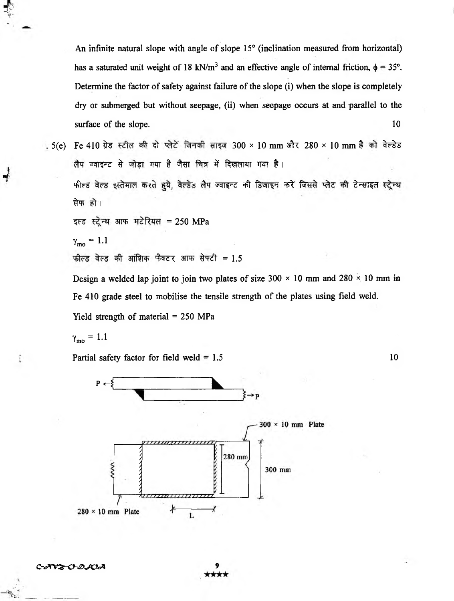An infinite natural slope with angle of slope 15° (inclination measured from horizontal) has a saturated unit weight of 18 kN/m<sup>3</sup> and an effective angle of internal friction,  $\phi = 35^{\circ}$ . Determine the factor of safety against failure of the slope (i) when the slope is completely dry or submerged but without seepage, (ii) when seepage occurs at and parallel to the surface of the slope. 10

5(e) Fe 410 ग्रेड स्टील की दो प्लेटें जिनकी साइज 300 × 10 mm और 280 × 10 mm है को वेल्डेड लैप ज्वाइन्ट से जोड़ा गया है जैसा चित्र में दिखलाया गया है।

*फील्ड वेल्ड इस्तेमाल करते हुये, वेल्डेड लैप ज्वाइन्ट की डिजाइन करें जिससे प्लेट की टेन्साइल स्ट्रेन्थ* सेफ हो।

इल्ड स्ट्रेन्थ आफ मटेरियल = 250 MPa

$$
\gamma_{\rm mo} = 1.1
$$

फील्ड वेल्ड की आंशिक फैक्टर आफ सेफ्टी = 1.5

Design a welded lap joint to join two plates of size  $300 \times 10$  mm and  $280 \times 10$  mm in Fe 410 grade steel to mobilise the tensile strength of the plates using field weld.

Yield strength of material = 250 MPa

$$
\gamma_{\rm mo}=1.1
$$

ī

Partial safety factor for field weld  $= 1.5$ 



*C-2002-O-8002* 9

10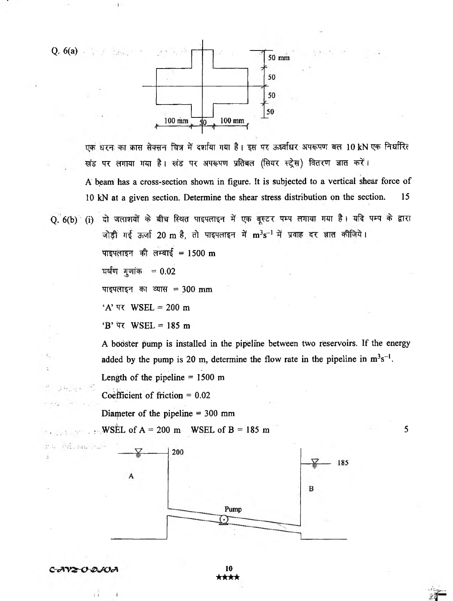

एक घरन का क्रास सेक्सन चित्र में दर्शाया गया है। इस पर ऊर्ध्वाधर अपरूपण बल 10 kN एक निर्धारित खंड पर लगाया गया है। खंड पर अपरूपण प्रतिबल (सियर स्ट्रेस) वितरण ज्ञात करें। A beam has a cross-section shown in figure. It is subjected to a vertical shear force of 10 kN at a given section. Determine the shear stress distribution on the section. 15

Q. 6(b) (i) दो जलाशयों के बीच स्थित पाइपलाइन में एक बूस्टर पम्प लगाया गया है। यदि पम्प के द्वारा जोड़ी गई ऊर्जा 20 m है, तो पाइपलाइन में m<sup>3</sup>s<sup>-1</sup> में प्रवाह दर ज्ञात कीजिये। पाइपलाइन की लम्बाई = 1500 m

**= o**.02

 $\mathbf{I}$ 

पाइपलाइन का व्यास = 300 mm

'A' *TR* WSEL = 200 m

 $\overline{B}$ ' पर WSEL = 185 m

A booster pump is installed in the pipeline between two reservoirs. If the energy added by the pump is 20 m, determine the flow rate in the pipeline in  $m<sup>3</sup>s<sup>-1</sup>$ .

Length of the pipeline  $= 1500$  m

Coefficient of friction = 0.02

Diameter of the pipeline = 300 mm

 $\therefore$  WSEL of A = 200 m WSEL of B = 185 m 5



**10** ★★★★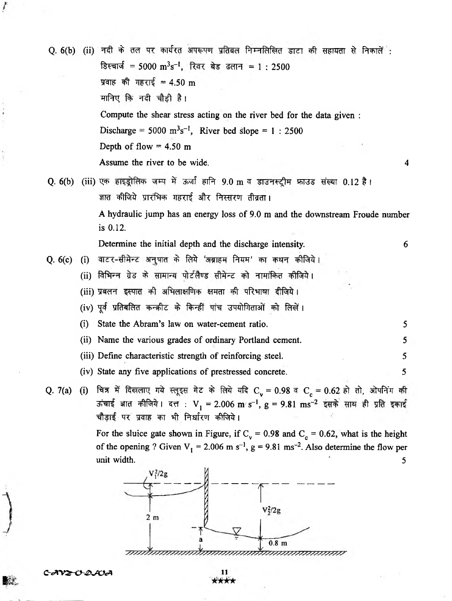Q. 6(b) (ii) नदी के तल पर कार्यरत अपरूपण प्रतिबल निम्नलिखित डाटा की सहायता से निकालें: डिस्चार्ज = 5000 m<sup>3</sup>s<sup>-1</sup>, रिवर बेड ढलान = 1 : 2500 *प्रवाह की गहराई = 4.50 m* मानिए कि नदी चौड़ी है। Compute the shear stress acting on the river bed for the data given : Discharge =  $5000 \text{ m}^3\text{s}^{-1}$ , River bed slope = 1 : 2500 Depth of flow  $= 4.50$  m Assume the river to be wide. 4 Q. 6(b) (iii) एक हाइड्रोलिक जम्प में ऊर्जा हानि 9.0 m व डाउनस्ट्रीम फ्राउड संख्या 0.12 है। ज्ञात कीजिये प्रारंभिक गहराई और निस्सरण तीव्रता। A hydraulic jump has an energy loss of 9.0 m and the downstream Froude number is 0.12. Determine the initial depth and the discharge intensity. 6 Q. 6(c) (i) वाटर-सीमेन्ट अनुपात के लिये 'अब्राहम नियम' का कथन कीजिये। (ii) विभिन्न ग्रेड के सामान्य पोर्टलैण्ड सीमेन्ट को नामांकित कीजिये। (iii) प्रबलन इस्पात की अभिलाक्षणिक क्षमता की परिभाषा दीजिये। (iv) पूर्व प्रतिबलित कन्क़ीट के किन्हीं पांच उपयोगिताओं को लिखें। (i) State the Abram's law on water-cement ratio. 5 (ii) Name the various grades of ordinary Portland cement. 5 (iii) Define characteristic strength of reinforcing steel. 5 (iv) State any five applications of prestressed concrete. 5 Q. 7(a) (i) चित्र में दिखलाए गये स्लूइस गेट के लिये यदि C<sub>v</sub> = 0.98 व C<sub>c</sub> = 0.62 हो तो, ओपनिंग की ऊंचाई ज्ञात कीजिये। दत्त : V<sub>1</sub> = 2.006 m/s<sup>-1</sup>, g = 9.81 ms<sup>-2</sup> इसके साथ ही प्रति इकाई चौड़ाई पर प्रवाह का भी निर्धारण कीजिये। For the sluice gate shown in Figure, if  $C_v = 0.98$  and  $C_c = 0.62$ , what is the height of the opening ? Given  $V_1 = 2.006$  m s<sup>-1</sup>, g = 9.81 ms<sup>-2</sup>. Also determine the flow per unit width.  $\frac{1}{5}$  $V_1^2/2g$ 



*C rJC V & 0 -4 > JO JK* **11**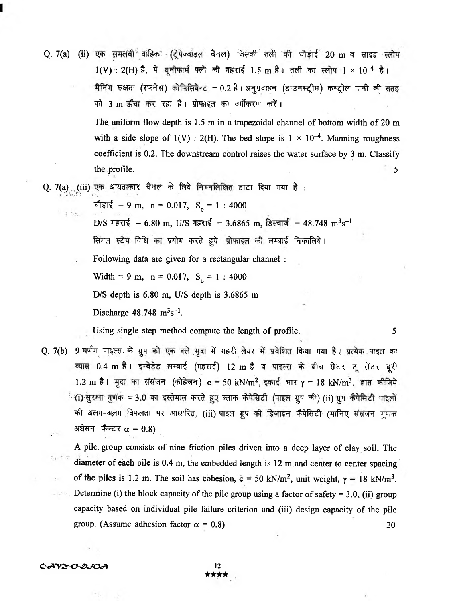Q. 7(a) (ii) एक समलंबी<sup>ं</sup> वाहिका (ट्रेपेज्वांडल चैनल) जिसकी तली की चौड़ाई 20 m व साइड स्लोप  $1(V)$ : 2(H) है, में यूनीफार्म फ्लो की गहराई 1.5 m है। तली का स्लोप 1 × 10<sup>-4</sup> है। मैनिंग रूक्षता (रफनेस) कोफिसियेन्ट = 0.2 है। अनुप्रवाहन (डाउनस्ट्रीम) कन्ट्रोल पानी की सतह  $\vec{r}$  3 m ऊँचा कर रहा है। प्रोफाइल का वर्गीकरण करें।

> The uniform flow depth is 1.5 m in a trapezoidal channel of bottom width of 20 m with a side slope of 1(V) : 2(H). The bed slope is  $1 \times 10^{-4}$ . Manning roughness coefficient is 0.2. The downstream control raises the water surface by 3 m. Classify  $\blacksquare$  the profile.  $\blacksquare$

Q. 7(a) (iii) एक आयताकार चैनल के लिये निम्नलिखित डाटा दिया गया है :

 $\hat{\mathbf{r}}$   $\hat{\mathbf{r}}$  = 9 m, n = 0.017, S<sub>o</sub> = 1 : 4000

D/S गहराई = 6.80 m, U/S गहराई = 3.6865 m, डिस्चार्ज = 48.748 m<sup>3</sup>s<sup>-1</sup>

*find ftu* af an yuin करते हये, प्रोफाइल की लम्बाई निकालिये।

Following data are given for a rectangular channel :

Width = 9 m,  $n = 0.017$ ,  $S_0 = 1$ : 4000

D/S depth is 6.80 m, U/S depth is 3.6865 m

Discharge  $48.748 \text{ m}^3 \text{s}^{-1}$ .

Using single step method compute the length of profile. 5

Q. 7(b) 9 घर्षण पाइल्स के ग्रुप को एक क्ले मृदा में गहरी लेयर में प्रवेशित किया गया है। प्रत्येक पाइल का <mark>व्यास 0.4 m है। इम्बेडेड लम्बाई (गहराई) 12 m है व पाइल्स के बीच सेंटर टू सेंटर दूरी</mark> 1.2 m है। मृदा का संसंजन (कोहेजन) c = 50 kN/m<sup>2</sup>, इकाई भार  $\gamma$  = 18 kN/m<sup>3</sup>. ज्ञात कीजिये े (i) सुरक्षा गुणक = 3.0 का इस्तेमाल करते हुए ब्लाक केपेसिटी (पाइल ग्रुप की) (ii) ग्रुप कैपेसिटी पाइलों की अलग-अलग विफलता पर आधारित, (iii) पाइल ग्रूप की डिजाइन कैपेसिटी (मानिए संसंजन गणक अधेसन फैक्टर  $\alpha = 0.8$ )

A pile, group consists of nine friction piles driven into *a* deep layer of clay soil. The diameter of each pile is 0.4 m, the embedded length is 12 m and center to center spacing of the piles is 1.2 m. The soil has cohesion,  $c = 50 \text{ kN/m}^2$ , unit weight,  $\gamma = 18 \text{ kN/m}^3$ . Determine (i) the block capacity of the pile group using a factor of safety  $= 3.0$ , (ii) group capacity based on individual pile failure criterion and (iii) design capacity of the pile group. (Assume adhesion factor  $\alpha = 0.8$ ) 20

*C-<A'V&-0-£>'JOcA 12*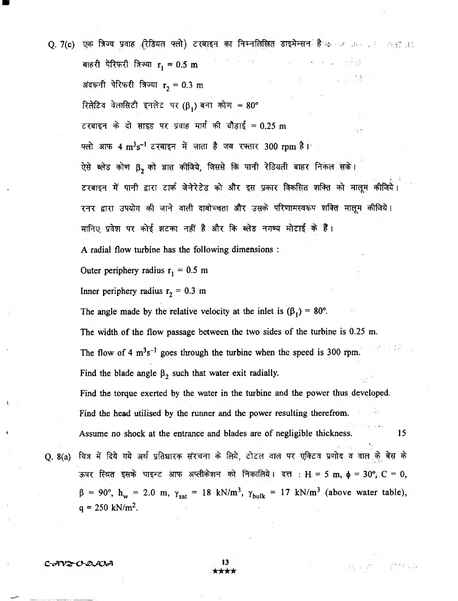Q. 7(c) एक त्रिज्य प्रवाह (रेडियल फ्लो) टरबाइन का निम्नलिखित डाइमेन्सन है<sub>ं के ल</sub>ाक का कार्य करते हैं। बाहरी पेरिफरी त्रिज्या  $r_1 = 0.5$  m अंदरूनी पेरिफरी त्रिज्या  $r_2 = 0.3$  m *Rि*तेटिव वेलासिटी इनलेट पर (β,) बना कोण = 80° टरबाइन के दो साइड पर प्रवाह मार्ग की चौड़ाई = 0.25 m फ्लो आफ 4  ${\rm m^3s^{-1}}$  टरबाइन में जाता है जब रफ्तार 300 rpm है। ऐसे ब्लेड कोण  $\boldsymbol{\beta_2}$  को ज्ञात कीजिये, जिससे कि पानी रेडियली बाहर निकल सके। टरबाइन में पानी द्वारा टार्क जेनेरेटेड को और इस प्रकार विकसित शक्ति को मालूम कीजिये। रनर द्वारा उपयोग की जाने वाली दाबोच्चता और उसके परिणामस्वरूप शक्ति मालूम कीजिये। मानिए प्रवेश पर कोई झटका नहीं है और कि ब्लेड नगण्य मोटाई के हैं। A radial flow turbine has the following dimensions : Outer periphery radius  $r_1 = 0.5$  m Inner periphery radius  $r_2 = 0.3$  m The angle made by the relative velocity at the inlet is  $(\beta_1) = 80^\circ$ . The width of the flow passage between the two sides of the turbine is 0.25 m. The flow of 4  $m<sup>3</sup>s<sup>-1</sup>$  goes through the turbine when the speed is 300 rpm. Find the blade angle  $\beta_2$  such that water exit radially. Find the torque exerted by the water in the turbine and the power thus developed. Find the head utilised by the runner and the power resulting therefrom. Assume no shock at the entrance and blades are of negligible thickness. 15 Q. 8(a) चित्र में दिये गये अर्थ प्रतिधारक संरचना के लिये, टोटल वाल पर एक्टिव प्रणोद व वाल के बेस के ऊपर स्थित इसके पाइन्ट आफ अप्लीकेशन को निकालिये। दत्त : H = 5 m,  $\phi = 30^\circ$ , C = 0,  $\beta$  = 90°, h<sub>w</sub> = 2.0 m,  $\gamma_{sat}$  = 18 kN/m<sup>3</sup>,  $\gamma_{bulk}$  = 17 kN/m<sup>3</sup> (above water table),  $q = 250$  kN/m<sup>2</sup>.

*C-AV2-C-QJCA* 13

 $\label{eq:3.1} \mathcal{F}_{\mathcal{R}_{\text{max}}}\left(\mathcal{F}_{\text{max}}^{\text{max}}\right) = \mathcal{F}_{\text{max}}^{\text{max}}\left(\mathcal{F}_{\text{max}}^{\text{max}}\right)$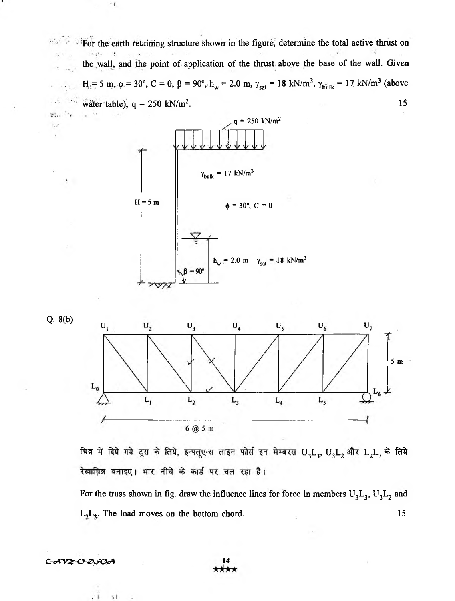For the earth retaining structure shown in the figure, determine the total active thrust on  $\mathcal{M}$ the wall, and the point of application of the thrust above the base of the wall. Given  $H = 5$  m, φ = 30°, C = 0, β = 90°, $h_w = 2.0$  m,  $\gamma_{sat} = 18$  kN/m<sup>3</sup>,  $\gamma_{bulk} = 17$  kN/m<sup>3</sup> (above water table),  $q = 250 \text{ kN/m}^2$ . 15





 $22.1$ 

 $^{\circ}$  f



चित्र में दिये गये ट्रस के लिये, इन्फ्लूएन्स लाइन फोर्स इन मेम्बरस  $\rm U_3L_3, \, U_3L_2$  और  $\rm L_2L_3$  के लिये रेखाचित्र बनाइए। भार नीचे के कार्ड पर चल रहा है।

For the truss shown in fig. draw the influence lines for force in members  $U_3L_3$ ,  $U_3L_2$  and  $L_2L_3$ . The load moves on the bottom chord. 15



 $\mathbb{I}$ ł